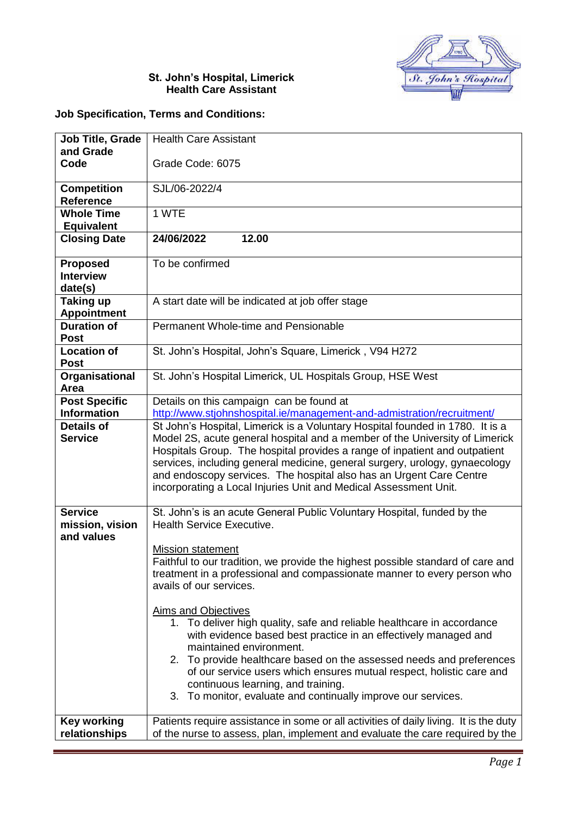

## **St. John's Hospital, Limerick Health Care Assistant**

## **Job Specification, Terms and Conditions:**

| <b>Job Title, Grade</b>                        | <b>Health Care Assistant</b>                                                                                                                              |
|------------------------------------------------|-----------------------------------------------------------------------------------------------------------------------------------------------------------|
| and Grade<br>Code                              | Grade Code: 6075                                                                                                                                          |
|                                                |                                                                                                                                                           |
| <b>Competition</b>                             | SJL/06-2022/4                                                                                                                                             |
| <b>Reference</b>                               |                                                                                                                                                           |
| <b>Whole Time</b><br><b>Equivalent</b>         | 1 WTE                                                                                                                                                     |
| <b>Closing Date</b>                            | 24/06/2022<br>12.00                                                                                                                                       |
| <b>Proposed</b><br><b>Interview</b><br>date(s) | To be confirmed                                                                                                                                           |
| <b>Taking up</b><br><b>Appointment</b>         | A start date will be indicated at job offer stage                                                                                                         |
| <b>Duration of</b><br><b>Post</b>              | Permanent Whole-time and Pensionable                                                                                                                      |
| <b>Location of</b><br><b>Post</b>              | St. John's Hospital, John's Square, Limerick, V94 H272                                                                                                    |
| Organisational<br>Area                         | St. John's Hospital Limerick, UL Hospitals Group, HSE West                                                                                                |
| <b>Post Specific</b>                           | Details on this campaign can be found at                                                                                                                  |
| <b>Information</b>                             | http://www.stjohnshospital.ie/management-and-admistration/recruitment/                                                                                    |
| <b>Details of</b>                              | St John's Hospital, Limerick is a Voluntary Hospital founded in 1780. It is a                                                                             |
| <b>Service</b>                                 | Model 2S, acute general hospital and a member of the University of Limerick                                                                               |
|                                                | Hospitals Group. The hospital provides a range of inpatient and outpatient<br>services, including general medicine, general surgery, urology, gynaecology |
|                                                | and endoscopy services. The hospital also has an Urgent Care Centre                                                                                       |
|                                                | incorporating a Local Injuries Unit and Medical Assessment Unit.                                                                                          |
|                                                |                                                                                                                                                           |
| <b>Service</b>                                 | St. John's is an acute General Public Voluntary Hospital, funded by the                                                                                   |
| mission, vision<br>and values                  | <b>Health Service Executive.</b>                                                                                                                          |
|                                                | <b>Mission statement</b>                                                                                                                                  |
|                                                | Faithful to our tradition, we provide the highest possible standard of care and                                                                           |
|                                                | treatment in a professional and compassionate manner to every person who                                                                                  |
|                                                | avails of our services.                                                                                                                                   |
|                                                | <b>Aims and Objectives</b>                                                                                                                                |
|                                                | 1. To deliver high quality, safe and reliable healthcare in accordance                                                                                    |
|                                                | with evidence based best practice in an effectively managed and                                                                                           |
|                                                | maintained environment.                                                                                                                                   |
|                                                | 2. To provide healthcare based on the assessed needs and preferences                                                                                      |
|                                                | of our service users which ensures mutual respect, holistic care and<br>continuous learning, and training.                                                |
|                                                | 3. To monitor, evaluate and continually improve our services.                                                                                             |
| <b>Key working</b>                             | Patients require assistance in some or all activities of daily living. It is the duty                                                                     |
| relationships                                  | of the nurse to assess, plan, implement and evaluate the care required by the                                                                             |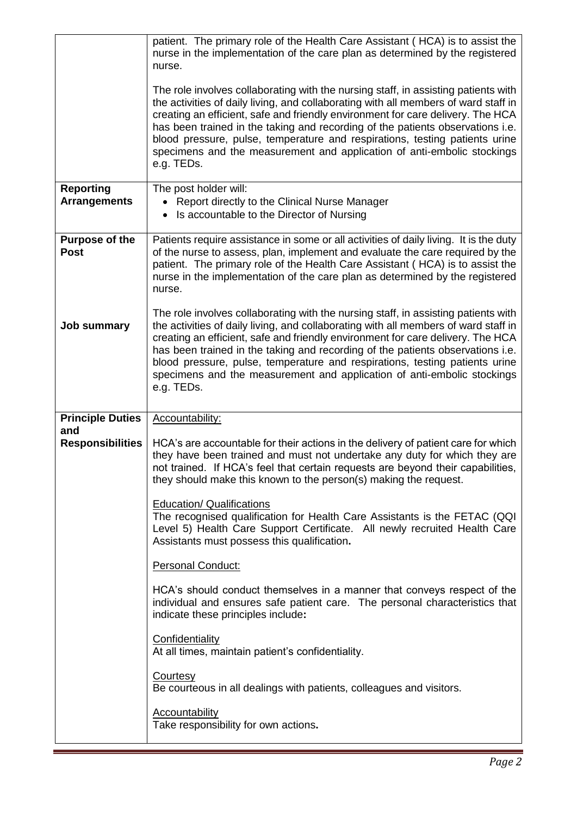|                                         | patient. The primary role of the Health Care Assistant (HCA) is to assist the<br>nurse in the implementation of the care plan as determined by the registered<br>nurse.                                                                                                                                                                                                                                                                                                                                                |
|-----------------------------------------|------------------------------------------------------------------------------------------------------------------------------------------------------------------------------------------------------------------------------------------------------------------------------------------------------------------------------------------------------------------------------------------------------------------------------------------------------------------------------------------------------------------------|
|                                         | The role involves collaborating with the nursing staff, in assisting patients with<br>the activities of daily living, and collaborating with all members of ward staff in<br>creating an efficient, safe and friendly environment for care delivery. The HCA<br>has been trained in the taking and recording of the patients observations i.e.<br>blood pressure, pulse, temperature and respirations, testing patients urine<br>specimens and the measurement and application of anti-embolic stockings<br>e.g. TEDs. |
| <b>Reporting</b><br><b>Arrangements</b> | The post holder will:<br>Report directly to the Clinical Nurse Manager<br>Is accountable to the Director of Nursing<br>٠                                                                                                                                                                                                                                                                                                                                                                                               |
| <b>Purpose of the</b><br><b>Post</b>    | Patients require assistance in some or all activities of daily living. It is the duty<br>of the nurse to assess, plan, implement and evaluate the care required by the<br>patient. The primary role of the Health Care Assistant (HCA) is to assist the<br>nurse in the implementation of the care plan as determined by the registered<br>nurse.                                                                                                                                                                      |
| <b>Job summary</b>                      | The role involves collaborating with the nursing staff, in assisting patients with<br>the activities of daily living, and collaborating with all members of ward staff in<br>creating an efficient, safe and friendly environment for care delivery. The HCA<br>has been trained in the taking and recording of the patients observations i.e.<br>blood pressure, pulse, temperature and respirations, testing patients urine<br>specimens and the measurement and application of anti-embolic stockings<br>e.g. TEDs. |
|                                         |                                                                                                                                                                                                                                                                                                                                                                                                                                                                                                                        |
| <b>Principle Duties</b>                 | Accountability:                                                                                                                                                                                                                                                                                                                                                                                                                                                                                                        |
| and<br><b>Responsibilities</b>          | HCA's are accountable for their actions in the delivery of patient care for which<br>they have been trained and must not undertake any duty for which they are<br>not trained. If HCA's feel that certain requests are beyond their capabilities,<br>they should make this known to the person(s) making the request.                                                                                                                                                                                                  |
|                                         | <b>Education/ Qualifications</b><br>The recognised qualification for Health Care Assistants is the FETAC (QQI<br>Level 5) Health Care Support Certificate. All newly recruited Health Care<br>Assistants must possess this qualification.                                                                                                                                                                                                                                                                              |
|                                         | Personal Conduct:                                                                                                                                                                                                                                                                                                                                                                                                                                                                                                      |
|                                         | HCA's should conduct themselves in a manner that conveys respect of the<br>individual and ensures safe patient care. The personal characteristics that<br>indicate these principles include:                                                                                                                                                                                                                                                                                                                           |
|                                         | Confidentiality<br>At all times, maintain patient's confidentiality.                                                                                                                                                                                                                                                                                                                                                                                                                                                   |
|                                         | <b>Courtesy</b><br>Be courteous in all dealings with patients, colleagues and visitors.                                                                                                                                                                                                                                                                                                                                                                                                                                |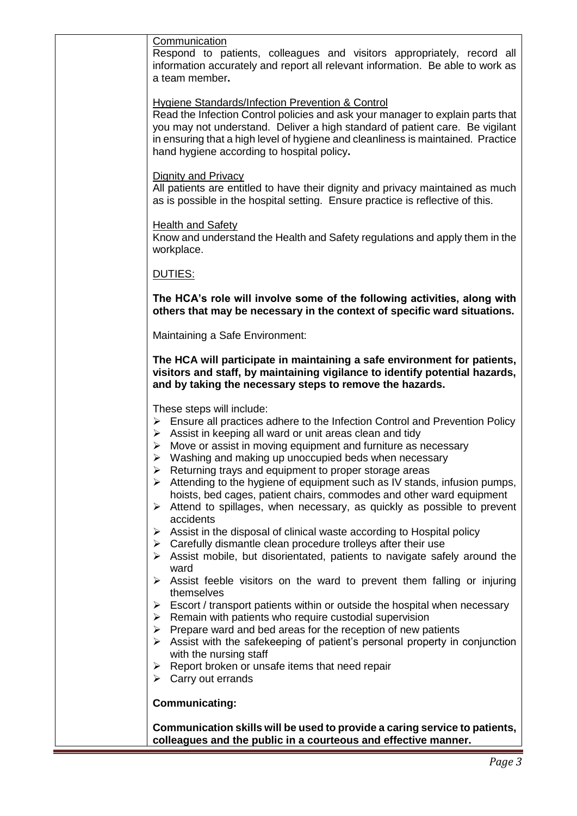| Communication<br>Respond to patients, colleagues and visitors appropriately, record all<br>information accurately and report all relevant information. Be able to work as<br>a team member.                                                                                                                                                                                                                                                                                                                                                                                                                                                                                                                                                                                                                                                                                                                                                                                                                                                                                                                                                                                                                                                                                                                                                                                                                                          |
|--------------------------------------------------------------------------------------------------------------------------------------------------------------------------------------------------------------------------------------------------------------------------------------------------------------------------------------------------------------------------------------------------------------------------------------------------------------------------------------------------------------------------------------------------------------------------------------------------------------------------------------------------------------------------------------------------------------------------------------------------------------------------------------------------------------------------------------------------------------------------------------------------------------------------------------------------------------------------------------------------------------------------------------------------------------------------------------------------------------------------------------------------------------------------------------------------------------------------------------------------------------------------------------------------------------------------------------------------------------------------------------------------------------------------------------|
| <b>Hygiene Standards/Infection Prevention &amp; Control</b><br>Read the Infection Control policies and ask your manager to explain parts that<br>you may not understand. Deliver a high standard of patient care. Be vigilant<br>in ensuring that a high level of hygiene and cleanliness is maintained. Practice<br>hand hygiene according to hospital policy.                                                                                                                                                                                                                                                                                                                                                                                                                                                                                                                                                                                                                                                                                                                                                                                                                                                                                                                                                                                                                                                                      |
| <b>Dignity and Privacy</b><br>All patients are entitled to have their dignity and privacy maintained as much<br>as is possible in the hospital setting. Ensure practice is reflective of this.                                                                                                                                                                                                                                                                                                                                                                                                                                                                                                                                                                                                                                                                                                                                                                                                                                                                                                                                                                                                                                                                                                                                                                                                                                       |
| <b>Health and Safety</b><br>Know and understand the Health and Safety regulations and apply them in the<br>workplace.                                                                                                                                                                                                                                                                                                                                                                                                                                                                                                                                                                                                                                                                                                                                                                                                                                                                                                                                                                                                                                                                                                                                                                                                                                                                                                                |
| DUTIES:                                                                                                                                                                                                                                                                                                                                                                                                                                                                                                                                                                                                                                                                                                                                                                                                                                                                                                                                                                                                                                                                                                                                                                                                                                                                                                                                                                                                                              |
| The HCA's role will involve some of the following activities, along with<br>others that may be necessary in the context of specific ward situations.                                                                                                                                                                                                                                                                                                                                                                                                                                                                                                                                                                                                                                                                                                                                                                                                                                                                                                                                                                                                                                                                                                                                                                                                                                                                                 |
| Maintaining a Safe Environment:                                                                                                                                                                                                                                                                                                                                                                                                                                                                                                                                                                                                                                                                                                                                                                                                                                                                                                                                                                                                                                                                                                                                                                                                                                                                                                                                                                                                      |
| The HCA will participate in maintaining a safe environment for patients,<br>visitors and staff, by maintaining vigilance to identify potential hazards,<br>and by taking the necessary steps to remove the hazards.                                                                                                                                                                                                                                                                                                                                                                                                                                                                                                                                                                                                                                                                                                                                                                                                                                                                                                                                                                                                                                                                                                                                                                                                                  |
| These steps will include:<br>Ensure all practices adhere to the Infection Control and Prevention Policy<br>➤<br>$\triangleright$ Assist in keeping all ward or unit areas clean and tidy<br>$\triangleright$ Move or assist in moving equipment and furniture as necessary<br>$\triangleright$ Washing and making up unoccupied beds when necessary<br>Returning trays and equipment to proper storage areas<br>$\triangleright$ Attending to the hygiene of equipment such as IV stands, infusion pumps,<br>hoists, bed cages, patient chairs, commodes and other ward equipment<br>Attend to spillages, when necessary, as quickly as possible to prevent<br>➤<br>accidents<br>Assist in the disposal of clinical waste according to Hospital policy<br>➤<br>Carefully dismantle clean procedure trolleys after their use<br>➤<br>Assist mobile, but disorientated, patients to navigate safely around the<br>➤<br>ward<br>Assist feeble visitors on the ward to prevent them falling or injuring<br>themselves<br>Escort / transport patients within or outside the hospital when necessary<br>➤<br>Remain with patients who require custodial supervision<br>➤<br>Prepare ward and bed areas for the reception of new patients<br>➤<br>Assist with the safekeeping of patient's personal property in conjunction<br>➤<br>with the nursing staff<br>Report broken or unsafe items that need repair<br>➤<br>Carry out errands<br>➤ |
| <b>Communicating:</b>                                                                                                                                                                                                                                                                                                                                                                                                                                                                                                                                                                                                                                                                                                                                                                                                                                                                                                                                                                                                                                                                                                                                                                                                                                                                                                                                                                                                                |
| Communication skills will be used to provide a caring service to patients,<br>colleagues and the public in a courteous and effective manner.                                                                                                                                                                                                                                                                                                                                                                                                                                                                                                                                                                                                                                                                                                                                                                                                                                                                                                                                                                                                                                                                                                                                                                                                                                                                                         |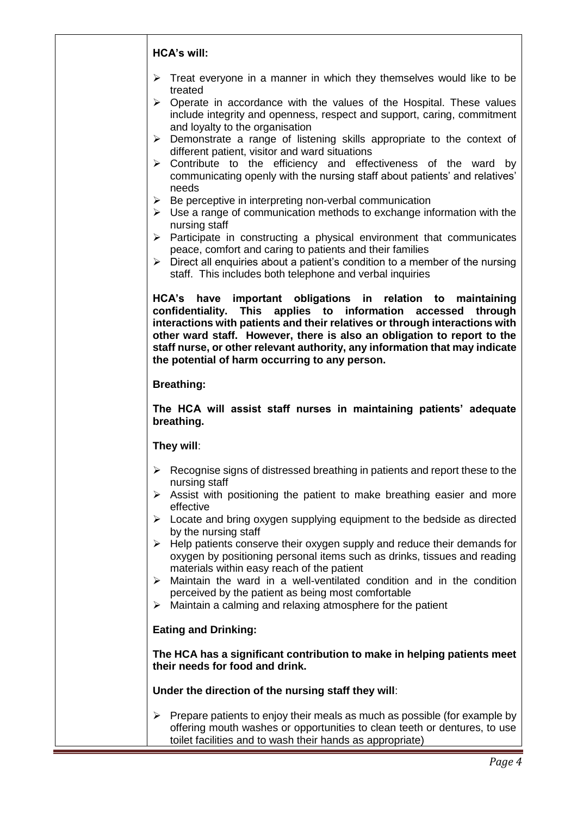| <b>HCA's will:</b>                                                                                                                                                                                                                                                                                                                                                                                                                                                                                                                                                                                                                                                                                                                                                                                                                                                                                                                                                                                                                                                                                         |
|------------------------------------------------------------------------------------------------------------------------------------------------------------------------------------------------------------------------------------------------------------------------------------------------------------------------------------------------------------------------------------------------------------------------------------------------------------------------------------------------------------------------------------------------------------------------------------------------------------------------------------------------------------------------------------------------------------------------------------------------------------------------------------------------------------------------------------------------------------------------------------------------------------------------------------------------------------------------------------------------------------------------------------------------------------------------------------------------------------|
| Treat everyone in a manner in which they themselves would like to be<br>➤<br>treated<br>Operate in accordance with the values of the Hospital. These values<br>➤<br>include integrity and openness, respect and support, caring, commitment<br>and loyalty to the organisation<br>$\triangleright$ Demonstrate a range of listening skills appropriate to the context of<br>different patient, visitor and ward situations<br>$\triangleright$ Contribute to the efficiency and effectiveness of the ward by<br>communicating openly with the nursing staff about patients' and relatives'<br>needs<br>$\triangleright$ Be perceptive in interpreting non-verbal communication<br>$\triangleright$ Use a range of communication methods to exchange information with the<br>nursing staff<br>$\triangleright$ Participate in constructing a physical environment that communicates<br>peace, comfort and caring to patients and their families<br>$\triangleright$ Direct all enquiries about a patient's condition to a member of the nursing<br>staff. This includes both telephone and verbal inquiries |
| HCA's have important obligations in relation to maintaining<br>confidentiality. This applies to information accessed<br>through<br>interactions with patients and their relatives or through interactions with<br>other ward staff. However, there is also an obligation to report to the<br>staff nurse, or other relevant authority, any information that may indicate<br>the potential of harm occurring to any person.                                                                                                                                                                                                                                                                                                                                                                                                                                                                                                                                                                                                                                                                                 |
| <b>Breathing:</b>                                                                                                                                                                                                                                                                                                                                                                                                                                                                                                                                                                                                                                                                                                                                                                                                                                                                                                                                                                                                                                                                                          |
| The HCA will assist staff nurses in maintaining patients' adequate<br>breathing.                                                                                                                                                                                                                                                                                                                                                                                                                                                                                                                                                                                                                                                                                                                                                                                                                                                                                                                                                                                                                           |
| They will:                                                                                                                                                                                                                                                                                                                                                                                                                                                                                                                                                                                                                                                                                                                                                                                                                                                                                                                                                                                                                                                                                                 |
| $\triangleright$ Recognise signs of distressed breathing in patients and report these to the<br>nursing staff<br>$\triangleright$ Assist with positioning the patient to make breathing easier and more<br>effective<br>$\triangleright$ Locate and bring oxygen supplying equipment to the bedside as directed<br>by the nursing staff<br>$\triangleright$ Help patients conserve their oxygen supply and reduce their demands for<br>oxygen by positioning personal items such as drinks, tissues and reading<br>materials within easy reach of the patient<br>$\triangleright$ Maintain the ward in a well-ventilated condition and in the condition<br>perceived by the patient as being most comfortable<br>$\triangleright$ Maintain a calming and relaxing atmosphere for the patient                                                                                                                                                                                                                                                                                                               |
| <b>Eating and Drinking:</b>                                                                                                                                                                                                                                                                                                                                                                                                                                                                                                                                                                                                                                                                                                                                                                                                                                                                                                                                                                                                                                                                                |
| The HCA has a significant contribution to make in helping patients meet<br>their needs for food and drink.                                                                                                                                                                                                                                                                                                                                                                                                                                                                                                                                                                                                                                                                                                                                                                                                                                                                                                                                                                                                 |
| Under the direction of the nursing staff they will:                                                                                                                                                                                                                                                                                                                                                                                                                                                                                                                                                                                                                                                                                                                                                                                                                                                                                                                                                                                                                                                        |
| $\triangleright$ Prepare patients to enjoy their meals as much as possible (for example by<br>offering mouth washes or opportunities to clean teeth or dentures, to use<br>toilet facilities and to wash their hands as appropriate)                                                                                                                                                                                                                                                                                                                                                                                                                                                                                                                                                                                                                                                                                                                                                                                                                                                                       |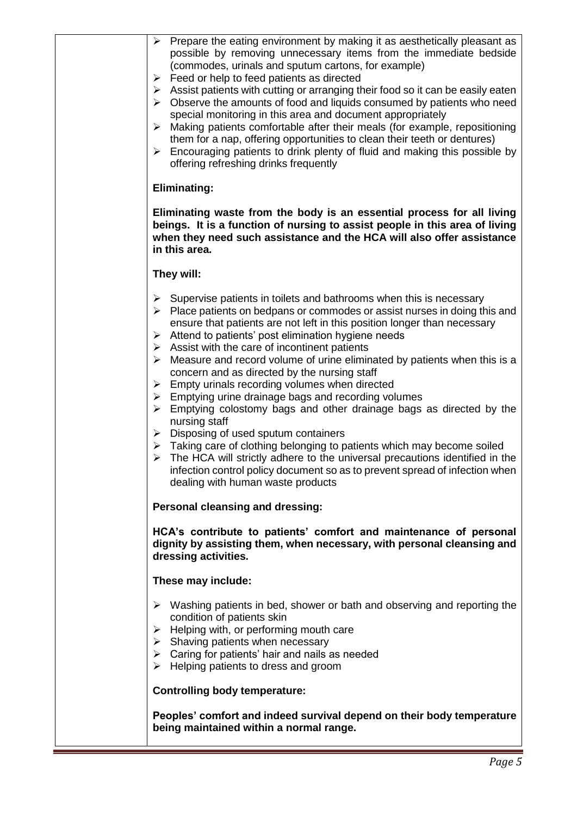| Prepare the eating environment by making it as aesthetically pleasant as<br>➤<br>possible by removing unnecessary items from the immediate bedside<br>(commodes, urinals and sputum cartons, for example)<br>Feed or help to feed patients as directed<br>➤<br>Assist patients with cutting or arranging their food so it can be easily eaten<br>➤<br>Observe the amounts of food and liquids consumed by patients who need<br>➤<br>special monitoring in this area and document appropriately<br>Making patients comfortable after their meals (for example, repositioning<br>➤<br>them for a nap, offering opportunities to clean their teeth or dentures)<br>Encouraging patients to drink plenty of fluid and making this possible by<br>➤<br>offering refreshing drinks frequently<br><b>Eliminating:</b>                                                                                                                                                                                                                                                                     |
|------------------------------------------------------------------------------------------------------------------------------------------------------------------------------------------------------------------------------------------------------------------------------------------------------------------------------------------------------------------------------------------------------------------------------------------------------------------------------------------------------------------------------------------------------------------------------------------------------------------------------------------------------------------------------------------------------------------------------------------------------------------------------------------------------------------------------------------------------------------------------------------------------------------------------------------------------------------------------------------------------------------------------------------------------------------------------------|
| Eliminating waste from the body is an essential process for all living<br>beings. It is a function of nursing to assist people in this area of living<br>when they need such assistance and the HCA will also offer assistance<br>in this area.                                                                                                                                                                                                                                                                                                                                                                                                                                                                                                                                                                                                                                                                                                                                                                                                                                    |
| They will:<br>Supervise patients in toilets and bathrooms when this is necessary<br>➤<br>Place patients on bedpans or commodes or assist nurses in doing this and<br>➤<br>ensure that patients are not left in this position longer than necessary<br>Attend to patients' post elimination hygiene needs<br>➤<br>Assist with the care of incontinent patients<br>➤<br>Measure and record volume of urine eliminated by patients when this is a<br>➤<br>concern and as directed by the nursing staff<br>Empty urinals recording volumes when directed<br>➤<br>Emptying urine drainage bags and recording volumes<br>➤<br>Emptying colostomy bags and other drainage bags as directed by the<br>➤<br>nursing staff<br>Disposing of used sputum containers<br>$\blacktriangleright$<br>$\triangleright$ Taking care of clothing belonging to patients which may become soiled<br>The HCA will strictly adhere to the universal precautions identified in the<br>➤<br>infection control policy document so as to prevent spread of infection when<br>dealing with human waste products |
| Personal cleansing and dressing:<br>HCA's contribute to patients' comfort and maintenance of personal<br>dignity by assisting them, when necessary, with personal cleansing and<br>dressing activities.                                                                                                                                                                                                                                                                                                                                                                                                                                                                                                                                                                                                                                                                                                                                                                                                                                                                            |
| These may include:                                                                                                                                                                                                                                                                                                                                                                                                                                                                                                                                                                                                                                                                                                                                                                                                                                                                                                                                                                                                                                                                 |
| $\triangleright$ Washing patients in bed, shower or bath and observing and reporting the<br>condition of patients skin<br>Helping with, or performing mouth care<br>≻<br>$\triangleright$ Shaving patients when necessary<br>$\triangleright$ Caring for patients' hair and nails as needed<br>Helping patients to dress and groom<br>➤                                                                                                                                                                                                                                                                                                                                                                                                                                                                                                                                                                                                                                                                                                                                            |
| <b>Controlling body temperature:</b>                                                                                                                                                                                                                                                                                                                                                                                                                                                                                                                                                                                                                                                                                                                                                                                                                                                                                                                                                                                                                                               |
| Peoples' comfort and indeed survival depend on their body temperature<br>being maintained within a normal range.                                                                                                                                                                                                                                                                                                                                                                                                                                                                                                                                                                                                                                                                                                                                                                                                                                                                                                                                                                   |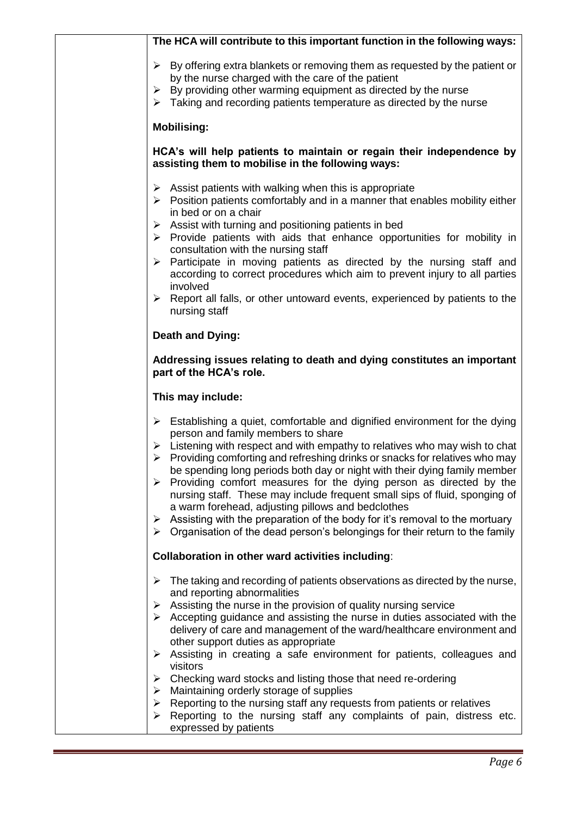| The HCA will contribute to this important function in the following ways:                                                                                                                                                                                                                                                                                                                                                                                                                                                                                                                                                                                                                                                                                                            |
|--------------------------------------------------------------------------------------------------------------------------------------------------------------------------------------------------------------------------------------------------------------------------------------------------------------------------------------------------------------------------------------------------------------------------------------------------------------------------------------------------------------------------------------------------------------------------------------------------------------------------------------------------------------------------------------------------------------------------------------------------------------------------------------|
| $\triangleright$ By offering extra blankets or removing them as requested by the patient or<br>by the nurse charged with the care of the patient<br>By providing other warming equipment as directed by the nurse<br>➤<br>Taking and recording patients temperature as directed by the nurse<br>➤                                                                                                                                                                                                                                                                                                                                                                                                                                                                                    |
| <b>Mobilising:</b>                                                                                                                                                                                                                                                                                                                                                                                                                                                                                                                                                                                                                                                                                                                                                                   |
| HCA's will help patients to maintain or regain their independence by<br>assisting them to mobilise in the following ways:                                                                                                                                                                                                                                                                                                                                                                                                                                                                                                                                                                                                                                                            |
| Assist patients with walking when this is appropriate<br>➤<br>$\triangleright$ Position patients comfortably and in a manner that enables mobility either<br>in bed or on a chair<br>Assist with turning and positioning patients in bed<br>➤<br>$\triangleright$ Provide patients with aids that enhance opportunities for mobility in<br>consultation with the nursing staff<br>> Participate in moving patients as directed by the nursing staff and<br>according to correct procedures which aim to prevent injury to all parties<br>involved<br>$\triangleright$ Report all falls, or other untoward events, experienced by patients to the<br>nursing staff                                                                                                                    |
| <b>Death and Dying:</b>                                                                                                                                                                                                                                                                                                                                                                                                                                                                                                                                                                                                                                                                                                                                                              |
| Addressing issues relating to death and dying constitutes an important<br>part of the HCA's role.                                                                                                                                                                                                                                                                                                                                                                                                                                                                                                                                                                                                                                                                                    |
| This may include:                                                                                                                                                                                                                                                                                                                                                                                                                                                                                                                                                                                                                                                                                                                                                                    |
| $\triangleright$ Establishing a quiet, comfortable and dignified environment for the dying<br>person and family members to share<br>$\triangleright$ Listening with respect and with empathy to relatives who may wish to chat<br>Providing comforting and refreshing drinks or snacks for relatives who may<br>➤<br>be spending long periods both day or night with their dying family member<br>Providing comfort measures for the dying person as directed by the<br>➤<br>nursing staff. These may include frequent small sips of fluid, sponging of<br>a warm forehead, adjusting pillows and bedclothes<br>Assisting with the preparation of the body for it's removal to the mortuary<br>➤<br>Organisation of the dead person's belongings for their return to the family<br>➤ |
| Collaboration in other ward activities including:                                                                                                                                                                                                                                                                                                                                                                                                                                                                                                                                                                                                                                                                                                                                    |
| The taking and recording of patients observations as directed by the nurse,<br>➤<br>and reporting abnormalities<br>Assisting the nurse in the provision of quality nursing service<br>➤<br>$\triangleright$ Accepting guidance and assisting the nurse in duties associated with the<br>delivery of care and management of the ward/healthcare environment and<br>other support duties as appropriate<br>Assisting in creating a safe environment for patients, colleagues and<br>➤<br>visitors<br>Checking ward stocks and listing those that need re-ordering<br>➤<br>Maintaining orderly storage of supplies<br>➤<br>Reporting to the nursing staff any requests from patients or relatives<br>➤                                                                                  |
| Reporting to the nursing staff any complaints of pain, distress etc.<br>➤<br>expressed by patients                                                                                                                                                                                                                                                                                                                                                                                                                                                                                                                                                                                                                                                                                   |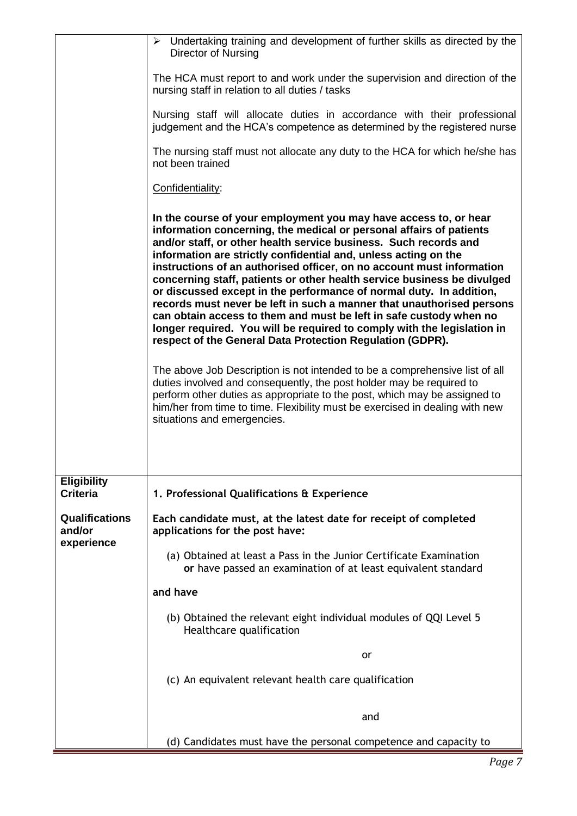|                                               | $\triangleright$ Undertaking training and development of further skills as directed by the<br>Director of Nursing                                                                                                                                                                                                                                                                                                                                                                                                                                                                                                                                                                                                                                                                                |
|-----------------------------------------------|--------------------------------------------------------------------------------------------------------------------------------------------------------------------------------------------------------------------------------------------------------------------------------------------------------------------------------------------------------------------------------------------------------------------------------------------------------------------------------------------------------------------------------------------------------------------------------------------------------------------------------------------------------------------------------------------------------------------------------------------------------------------------------------------------|
|                                               | The HCA must report to and work under the supervision and direction of the<br>nursing staff in relation to all duties / tasks                                                                                                                                                                                                                                                                                                                                                                                                                                                                                                                                                                                                                                                                    |
|                                               | Nursing staff will allocate duties in accordance with their professional<br>judgement and the HCA's competence as determined by the registered nurse                                                                                                                                                                                                                                                                                                                                                                                                                                                                                                                                                                                                                                             |
|                                               | The nursing staff must not allocate any duty to the HCA for which he/she has<br>not been trained                                                                                                                                                                                                                                                                                                                                                                                                                                                                                                                                                                                                                                                                                                 |
|                                               | Confidentiality:                                                                                                                                                                                                                                                                                                                                                                                                                                                                                                                                                                                                                                                                                                                                                                                 |
|                                               | In the course of your employment you may have access to, or hear<br>information concerning, the medical or personal affairs of patients<br>and/or staff, or other health service business. Such records and<br>information are strictly confidential and, unless acting on the<br>instructions of an authorised officer, on no account must information<br>concerning staff, patients or other health service business be divulged<br>or discussed except in the performance of normal duty. In addition,<br>records must never be left in such a manner that unauthorised persons<br>can obtain access to them and must be left in safe custody when no<br>longer required. You will be required to comply with the legislation in<br>respect of the General Data Protection Regulation (GDPR). |
|                                               | The above Job Description is not intended to be a comprehensive list of all<br>duties involved and consequently, the post holder may be required to<br>perform other duties as appropriate to the post, which may be assigned to<br>him/her from time to time. Flexibility must be exercised in dealing with new<br>situations and emergencies.                                                                                                                                                                                                                                                                                                                                                                                                                                                  |
| <b>Eligibility</b><br><b>Criteria</b>         | 1. Professional Qualifications & Experience                                                                                                                                                                                                                                                                                                                                                                                                                                                                                                                                                                                                                                                                                                                                                      |
| <b>Qualifications</b><br>and/or<br>experience | Each candidate must, at the latest date for receipt of completed<br>applications for the post have:                                                                                                                                                                                                                                                                                                                                                                                                                                                                                                                                                                                                                                                                                              |
|                                               | (a) Obtained at least a Pass in the Junior Certificate Examination<br>or have passed an examination of at least equivalent standard                                                                                                                                                                                                                                                                                                                                                                                                                                                                                                                                                                                                                                                              |
|                                               | and have                                                                                                                                                                                                                                                                                                                                                                                                                                                                                                                                                                                                                                                                                                                                                                                         |
|                                               | (b) Obtained the relevant eight individual modules of QQI Level 5<br>Healthcare qualification                                                                                                                                                                                                                                                                                                                                                                                                                                                                                                                                                                                                                                                                                                    |
|                                               | or                                                                                                                                                                                                                                                                                                                                                                                                                                                                                                                                                                                                                                                                                                                                                                                               |
|                                               | (c) An equivalent relevant health care qualification                                                                                                                                                                                                                                                                                                                                                                                                                                                                                                                                                                                                                                                                                                                                             |
|                                               | and                                                                                                                                                                                                                                                                                                                                                                                                                                                                                                                                                                                                                                                                                                                                                                                              |
|                                               | (d) Candidates must have the personal competence and capacity to                                                                                                                                                                                                                                                                                                                                                                                                                                                                                                                                                                                                                                                                                                                                 |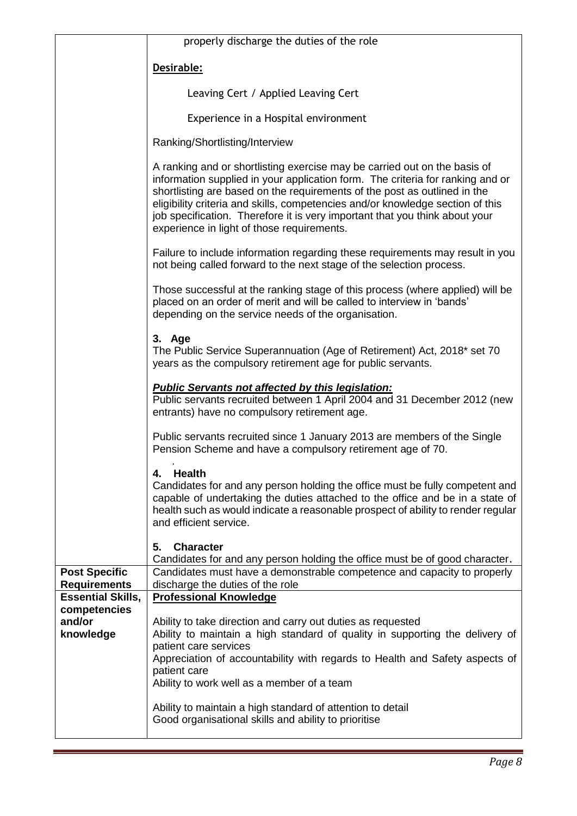|                                                 | properly discharge the duties of the role                                                                                                                                                                                                                                                                                                                                                                                                               |
|-------------------------------------------------|---------------------------------------------------------------------------------------------------------------------------------------------------------------------------------------------------------------------------------------------------------------------------------------------------------------------------------------------------------------------------------------------------------------------------------------------------------|
|                                                 | Desirable:                                                                                                                                                                                                                                                                                                                                                                                                                                              |
|                                                 | Leaving Cert / Applied Leaving Cert                                                                                                                                                                                                                                                                                                                                                                                                                     |
|                                                 | Experience in a Hospital environment                                                                                                                                                                                                                                                                                                                                                                                                                    |
|                                                 | Ranking/Shortlisting/Interview                                                                                                                                                                                                                                                                                                                                                                                                                          |
|                                                 | A ranking and or shortlisting exercise may be carried out on the basis of<br>information supplied in your application form. The criteria for ranking and or<br>shortlisting are based on the requirements of the post as outlined in the<br>eligibility criteria and skills, competencies and/or knowledge section of this<br>job specification. Therefore it is very important that you think about your<br>experience in light of those requirements. |
|                                                 | Failure to include information regarding these requirements may result in you<br>not being called forward to the next stage of the selection process.                                                                                                                                                                                                                                                                                                   |
|                                                 | Those successful at the ranking stage of this process (where applied) will be<br>placed on an order of merit and will be called to interview in 'bands'<br>depending on the service needs of the organisation.                                                                                                                                                                                                                                          |
|                                                 | 3. Age<br>The Public Service Superannuation (Age of Retirement) Act, 2018* set 70<br>years as the compulsory retirement age for public servants.                                                                                                                                                                                                                                                                                                        |
|                                                 | <b>Public Servants not affected by this legislation:</b><br>Public servants recruited between 1 April 2004 and 31 December 2012 (new<br>entrants) have no compulsory retirement age.                                                                                                                                                                                                                                                                    |
|                                                 | Public servants recruited since 1 January 2013 are members of the Single<br>Pension Scheme and have a compulsory retirement age of 70.                                                                                                                                                                                                                                                                                                                  |
|                                                 | <b>Health</b><br>4.<br>Candidates for and any person holding the office must be fully competent and<br>capable of undertaking the duties attached to the office and be in a state of<br>health such as would indicate a reasonable prospect of ability to render regular<br>and efficient service.                                                                                                                                                      |
|                                                 | <b>Character</b><br>5.                                                                                                                                                                                                                                                                                                                                                                                                                                  |
| <b>Post Specific</b>                            | Candidates for and any person holding the office must be of good character.<br>Candidates must have a demonstrable competence and capacity to properly                                                                                                                                                                                                                                                                                                  |
| <b>Requirements</b><br><b>Essential Skills,</b> | discharge the duties of the role<br><b>Professional Knowledge</b>                                                                                                                                                                                                                                                                                                                                                                                       |
| competencies<br>and/or<br>knowledge             | Ability to take direction and carry out duties as requested<br>Ability to maintain a high standard of quality in supporting the delivery of<br>patient care services<br>Appreciation of accountability with regards to Health and Safety aspects of<br>patient care<br>Ability to work well as a member of a team                                                                                                                                       |
|                                                 | Ability to maintain a high standard of attention to detail<br>Good organisational skills and ability to prioritise                                                                                                                                                                                                                                                                                                                                      |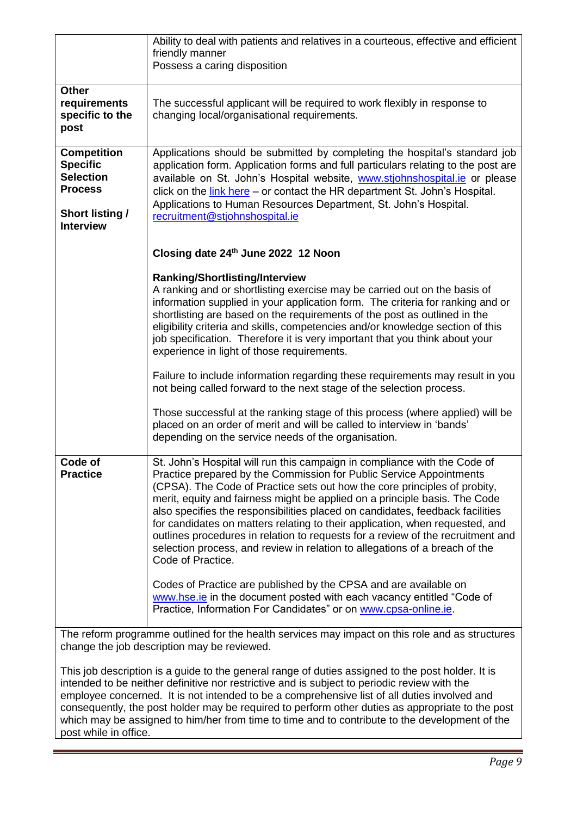|                                                                                                       | Ability to deal with patients and relatives in a courteous, effective and efficient<br>friendly manner<br>Possess a caring disposition                                                                                                                                                                                                                                                                                                                                                                                                                                                                                                                              |
|-------------------------------------------------------------------------------------------------------|---------------------------------------------------------------------------------------------------------------------------------------------------------------------------------------------------------------------------------------------------------------------------------------------------------------------------------------------------------------------------------------------------------------------------------------------------------------------------------------------------------------------------------------------------------------------------------------------------------------------------------------------------------------------|
| <b>Other</b><br>requirements<br>specific to the<br>post                                               | The successful applicant will be required to work flexibly in response to<br>changing local/organisational requirements.                                                                                                                                                                                                                                                                                                                                                                                                                                                                                                                                            |
| <b>Competition</b><br><b>Specific</b><br><b>Selection</b><br><b>Process</b><br><b>Short listing /</b> | Applications should be submitted by completing the hospital's standard job<br>application form. Application forms and full particulars relating to the post are<br>available on St. John's Hospital website, www.stiohnshospital.ie or please<br>click on the link here - or contact the HR department St. John's Hospital.<br>Applications to Human Resources Department, St. John's Hospital.<br>recruitment@stjohnshospital.ie                                                                                                                                                                                                                                   |
| <b>Interview</b>                                                                                      | Closing date 24th June 2022 12 Noon                                                                                                                                                                                                                                                                                                                                                                                                                                                                                                                                                                                                                                 |
|                                                                                                       | <b>Ranking/Shortlisting/Interview</b><br>A ranking and or shortlisting exercise may be carried out on the basis of<br>information supplied in your application form. The criteria for ranking and or<br>shortlisting are based on the requirements of the post as outlined in the<br>eligibility criteria and skills, competencies and/or knowledge section of this<br>job specification. Therefore it is very important that you think about your<br>experience in light of those requirements.                                                                                                                                                                    |
|                                                                                                       | Failure to include information regarding these requirements may result in you<br>not being called forward to the next stage of the selection process.                                                                                                                                                                                                                                                                                                                                                                                                                                                                                                               |
|                                                                                                       | Those successful at the ranking stage of this process (where applied) will be<br>placed on an order of merit and will be called to interview in 'bands'<br>depending on the service needs of the organisation.                                                                                                                                                                                                                                                                                                                                                                                                                                                      |
| Code of<br><b>Practice</b>                                                                            | St. John's Hospital will run this campaign in compliance with the Code of<br>Practice prepared by the Commission for Public Service Appointments<br>(CPSA). The Code of Practice sets out how the core principles of probity,<br>merit, equity and fairness might be applied on a principle basis. The Code<br>also specifies the responsibilities placed on candidates, feedback facilities<br>for candidates on matters relating to their application, when requested, and<br>outlines procedures in relation to requests for a review of the recruitment and<br>selection process, and review in relation to allegations of a breach of the<br>Code of Practice. |
|                                                                                                       | Codes of Practice are published by the CPSA and are available on<br>www.hse.ie in the document posted with each vacancy entitled "Code of<br>Practice, Information For Candidates" or on www.cpsa-online.ie.                                                                                                                                                                                                                                                                                                                                                                                                                                                        |
|                                                                                                       | The reform programme outlined for the health services may impact on this role and as structures<br>change the job description may be reviewed.                                                                                                                                                                                                                                                                                                                                                                                                                                                                                                                      |
|                                                                                                       | io o quido to the general renge of duties assigned to the peet bolder. It is                                                                                                                                                                                                                                                                                                                                                                                                                                                                                                                                                                                        |

This job description is a guide to the general range of duties assigned to the post holder. It is intended to be neither definitive nor restrictive and is subject to periodic review with the employee concerned. It is not intended to be a comprehensive list of all duties involved and consequently, the post holder may be required to perform other duties as appropriate to the post which may be assigned to him/her from time to time and to contribute to the development of the post while in office.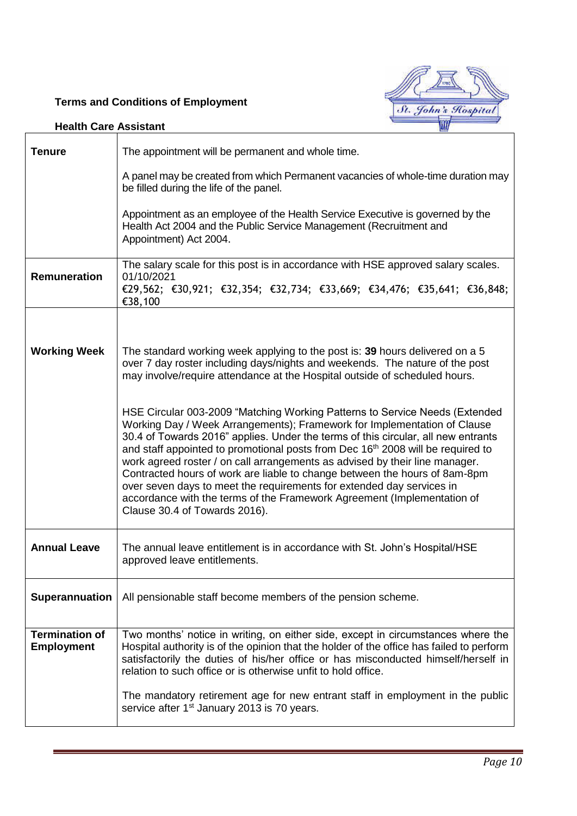## **Terms and Conditions of Employment**



| <b>Tenure</b>                              | The appointment will be permanent and whole time.                                                                                                                                                                                                                                                                                                                                                                                                                                                                                                                                                                                                                                             |
|--------------------------------------------|-----------------------------------------------------------------------------------------------------------------------------------------------------------------------------------------------------------------------------------------------------------------------------------------------------------------------------------------------------------------------------------------------------------------------------------------------------------------------------------------------------------------------------------------------------------------------------------------------------------------------------------------------------------------------------------------------|
|                                            | A panel may be created from which Permanent vacancies of whole-time duration may<br>be filled during the life of the panel.                                                                                                                                                                                                                                                                                                                                                                                                                                                                                                                                                                   |
|                                            | Appointment as an employee of the Health Service Executive is governed by the<br>Health Act 2004 and the Public Service Management (Recruitment and<br>Appointment) Act 2004.                                                                                                                                                                                                                                                                                                                                                                                                                                                                                                                 |
| <b>Remuneration</b>                        | The salary scale for this post is in accordance with HSE approved salary scales.<br>01/10/2021<br>€29,562; €30,921; €32,354; €32,734; €33,669; €34,476; €35,641; €36,848;<br>€38,100                                                                                                                                                                                                                                                                                                                                                                                                                                                                                                          |
|                                            |                                                                                                                                                                                                                                                                                                                                                                                                                                                                                                                                                                                                                                                                                               |
| <b>Working Week</b>                        | The standard working week applying to the post is: 39 hours delivered on a 5<br>over 7 day roster including days/nights and weekends. The nature of the post<br>may involve/require attendance at the Hospital outside of scheduled hours.                                                                                                                                                                                                                                                                                                                                                                                                                                                    |
|                                            | HSE Circular 003-2009 "Matching Working Patterns to Service Needs (Extended<br>Working Day / Week Arrangements); Framework for Implementation of Clause<br>30.4 of Towards 2016" applies. Under the terms of this circular, all new entrants<br>and staff appointed to promotional posts from Dec 16 <sup>th</sup> 2008 will be required to<br>work agreed roster / on call arrangements as advised by their line manager.<br>Contracted hours of work are liable to change between the hours of 8am-8pm<br>over seven days to meet the requirements for extended day services in<br>accordance with the terms of the Framework Agreement (Implementation of<br>Clause 30.4 of Towards 2016). |
| <b>Annual Leave</b>                        | The annual leave entitlement is in accordance with St. John's Hospital/HSE<br>approved leave entitlements.                                                                                                                                                                                                                                                                                                                                                                                                                                                                                                                                                                                    |
| Superannuation                             | All pensionable staff become members of the pension scheme.                                                                                                                                                                                                                                                                                                                                                                                                                                                                                                                                                                                                                                   |
| <b>Termination of</b><br><b>Employment</b> | Two months' notice in writing, on either side, except in circumstances where the<br>Hospital authority is of the opinion that the holder of the office has failed to perform<br>satisfactorily the duties of his/her office or has misconducted himself/herself in<br>relation to such office or is otherwise unfit to hold office.                                                                                                                                                                                                                                                                                                                                                           |
|                                            | The mandatory retirement age for new entrant staff in employment in the public<br>service after 1 <sup>st</sup> January 2013 is 70 years.                                                                                                                                                                                                                                                                                                                                                                                                                                                                                                                                                     |